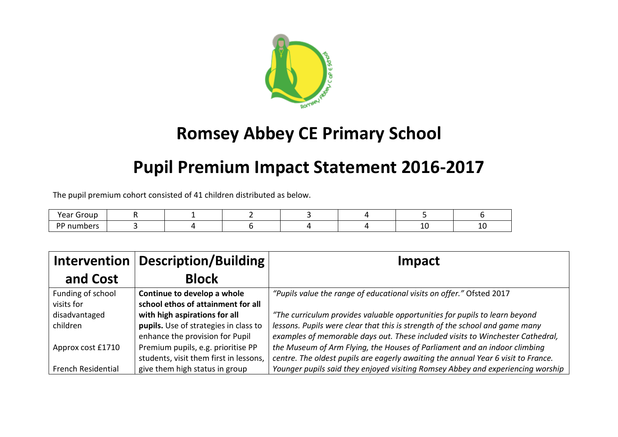

# **Romsey Abbey CE Primary School**

# **Pupil Premium Impact Statement 2016-2017**

The pupil premium cohort consisted of 41 children distributed as below.

| $V \sim V$<br>1 M<br>car |  |  |  |    |
|--------------------------|--|--|--|----|
| n n                      |  |  |  | -- |

| Description/Building<br><b>Intervention</b> |                                        | Impact                                                                            |
|---------------------------------------------|----------------------------------------|-----------------------------------------------------------------------------------|
| and Cost                                    | <b>Block</b>                           |                                                                                   |
| Funding of school                           | Continue to develop a whole            | "Pupils value the range of educational visits on offer." Ofsted 2017              |
| visits for                                  | school ethos of attainment for all     |                                                                                   |
| disadvantaged                               | with high aspirations for all          | "The curriculum provides valuable opportunities for pupils to learn beyond        |
| children                                    | pupils. Use of strategies in class to  | lessons. Pupils were clear that this is strength of the school and game many      |
|                                             | enhance the provision for Pupil        | examples of memorable days out. These included visits to Winchester Cathedral,    |
| Approx cost £1710                           | Premium pupils, e.g. prioritise PP     | the Museum of Arm Flying, the Houses of Parliament and an indoor climbing         |
|                                             | students, visit them first in lessons, | centre. The oldest pupils are eagerly awaiting the annual Year 6 visit to France. |
| <b>French Residential</b>                   | give them high status in group         | Younger pupils said they enjoyed visiting Romsey Abbey and experiencing worship   |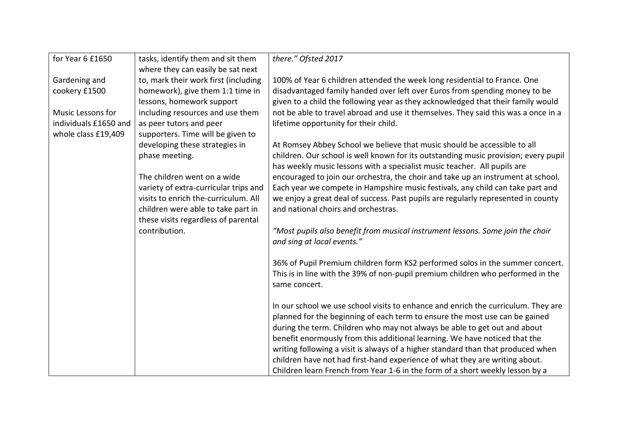| for Year 6 £1650      | tasks, identify them and sit them     | there." Ofsted 2017                                                                 |
|-----------------------|---------------------------------------|-------------------------------------------------------------------------------------|
|                       | where they can easily be sat next     |                                                                                     |
| Gardening and         | to, mark their work first (including  | 100% of Year 6 children attended the week long residential to France. One           |
| cookery £1500         | homework), give them 1:1 time in      | disadvantaged family handed over left over Euros from spending money to be          |
|                       | lessons, homework support             | given to a child the following year as they acknowledged that their family would    |
| Music Lessons for     | including resources and use them      | not be able to travel abroad and use it themselves. They said this was a once in a  |
| individuals £1650 and | as peer tutors and peer               | lifetime opportunity for their child.                                               |
| whole class £19,409   | supporters. Time will be given to     |                                                                                     |
|                       | developing these strategies in        | At Romsey Abbey School we believe that music should be accessible to all            |
|                       | phase meeting.                        | children. Our school is well known for its outstanding music provision; every pupil |
|                       |                                       | has weekly music lessons with a specialist music teacher. All pupils are            |
|                       | The children went on a wide           | encouraged to join our orchestra, the choir and take up an instrument at school.    |
|                       | variety of extra-curricular trips and | Each year we compete in Hampshire music festivals, any child can take part and      |
|                       | visits to enrich the-curriculum. All  | we enjoy a great deal of success. Past pupils are regularly represented in county   |
|                       | children were able to take part in    | and national choirs and orchestras.                                                 |
|                       | these visits regardless of parental   |                                                                                     |
|                       | contribution.                         | "Most pupils also benefit from musical instrument lessons. Some join the choir      |
|                       |                                       | and sing at local events."                                                          |
|                       |                                       |                                                                                     |
|                       |                                       | 36% of Pupil Premium children form KS2 performed solos in the summer concert.       |
|                       |                                       | This is in line with the 39% of non-pupil premium children who performed in the     |
|                       |                                       | same concert.                                                                       |
|                       |                                       |                                                                                     |
|                       |                                       | In our school we use school visits to enhance and enrich the curriculum. They are   |
|                       |                                       | planned for the beginning of each term to ensure the most use can be gained         |
|                       |                                       | during the term. Children who may not always be able to get out and about           |
|                       |                                       | benefit enormously from this additional learning. We have noticed that the          |
|                       |                                       | writing following a visit is always of a higher standard than that produced when    |
|                       |                                       | children have not had first-hand experience of what they are writing about.         |
|                       |                                       | Children learn French from Year 1-6 in the form of a short weekly lesson by a       |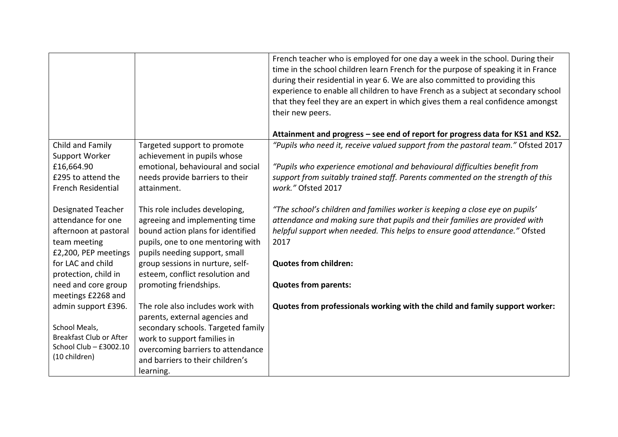|                                      |                                                                      | French teacher who is employed for one day a week in the school. During their<br>time in the school children learn French for the purpose of speaking it in France<br>during their residential in year 6. We are also committed to providing this<br>experience to enable all children to have French as a subject at secondary school<br>that they feel they are an expert in which gives them a real confidence amongst<br>their new peers. |
|--------------------------------------|----------------------------------------------------------------------|-----------------------------------------------------------------------------------------------------------------------------------------------------------------------------------------------------------------------------------------------------------------------------------------------------------------------------------------------------------------------------------------------------------------------------------------------|
|                                      |                                                                      | Attainment and progress - see end of report for progress data for KS1 and KS2.                                                                                                                                                                                                                                                                                                                                                                |
| Child and Family<br>Support Worker   | Targeted support to promote<br>achievement in pupils whose           | "Pupils who need it, receive valued support from the pastoral team." Ofsted 2017                                                                                                                                                                                                                                                                                                                                                              |
| £16,664.90                           | emotional, behavioural and social                                    | "Pupils who experience emotional and behavioural difficulties benefit from                                                                                                                                                                                                                                                                                                                                                                    |
| £295 to attend the                   | needs provide barriers to their                                      | support from suitably trained staff. Parents commented on the strength of this                                                                                                                                                                                                                                                                                                                                                                |
| <b>French Residential</b>            | attainment.                                                          | work." Ofsted 2017                                                                                                                                                                                                                                                                                                                                                                                                                            |
| <b>Designated Teacher</b>            | This role includes developing,                                       | "The school's children and families worker is keeping a close eye on pupils"                                                                                                                                                                                                                                                                                                                                                                  |
| attendance for one                   | agreeing and implementing time                                       | attendance and making sure that pupils and their families are provided with                                                                                                                                                                                                                                                                                                                                                                   |
| afternoon at pastoral                | bound action plans for identified                                    | helpful support when needed. This helps to ensure good attendance." Ofsted                                                                                                                                                                                                                                                                                                                                                                    |
| team meeting<br>£2,200, PEP meetings | pupils, one to one mentoring with<br>pupils needing support, small   | 2017                                                                                                                                                                                                                                                                                                                                                                                                                                          |
| for LAC and child                    | group sessions in nurture, self-                                     | <b>Quotes from children:</b>                                                                                                                                                                                                                                                                                                                                                                                                                  |
| protection, child in                 | esteem, conflict resolution and                                      |                                                                                                                                                                                                                                                                                                                                                                                                                                               |
| need and core group                  | promoting friendships.                                               | <b>Quotes from parents:</b>                                                                                                                                                                                                                                                                                                                                                                                                                   |
| meetings £2268 and                   |                                                                      |                                                                                                                                                                                                                                                                                                                                                                                                                                               |
| admin support £396.                  | The role also includes work with                                     | Quotes from professionals working with the child and family support worker:                                                                                                                                                                                                                                                                                                                                                                   |
| School Meals,                        | parents, external agencies and<br>secondary schools. Targeted family |                                                                                                                                                                                                                                                                                                                                                                                                                                               |
| <b>Breakfast Club or After</b>       | work to support families in                                          |                                                                                                                                                                                                                                                                                                                                                                                                                                               |
| School Club - £3002.10               | overcoming barriers to attendance                                    |                                                                                                                                                                                                                                                                                                                                                                                                                                               |
| (10 children)                        | and barriers to their children's                                     |                                                                                                                                                                                                                                                                                                                                                                                                                                               |
|                                      | learning.                                                            |                                                                                                                                                                                                                                                                                                                                                                                                                                               |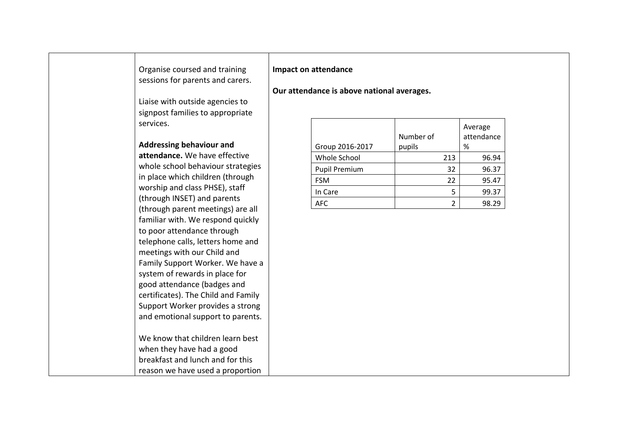## Organise coursed and training sessions for parents and carers.

Liaise with outside agencies to signpost families to appropriate services.

#### **Addressing behaviour and**

**attendance.** We have effective whole school behaviour strategies in place which children (through worship and class PHSE), staff (through INSET) and parents (through parent meetings) are all familiar with. We respond quickly to poor attendance through telephone calls, letters home and meetings with our Child and Family Support Worker. We have a system of rewards in place for good attendance (badges and certificates). The Child and Family Support Worker provides a strong and emotional support to parents.

We know that children learn best when they have had a good breakfast and lunch and for this reason we have used a proportion

### **Impact on attendance**

### **Our attendance is above national averages.**

| Group 2016-2017      | Number of<br>pupils |   | Average<br>attendance<br>% |
|----------------------|---------------------|---|----------------------------|
| Whole School         | 213                 |   | 96.94                      |
| <b>Pupil Premium</b> | 32                  |   | 96.37                      |
| <b>FSM</b>           | 22                  |   | 95.47                      |
| In Care              |                     | 5 | 99.37                      |
| AFC                  |                     | າ | 98.29                      |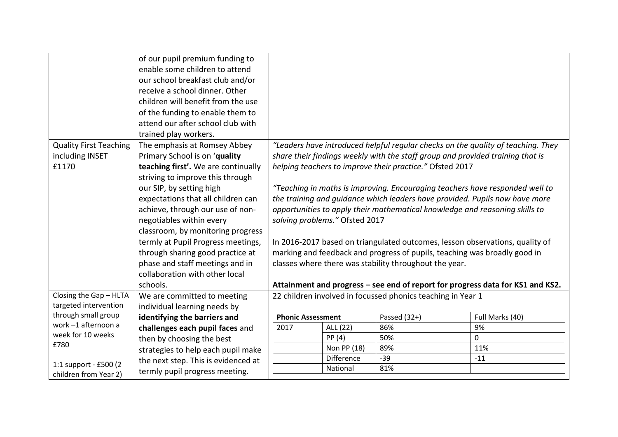|                               | of our pupil premium funding to<br>enable some children to attend     |                                                                                                                                                             |                                |                                                                                  |                                                                                |  |
|-------------------------------|-----------------------------------------------------------------------|-------------------------------------------------------------------------------------------------------------------------------------------------------------|--------------------------------|----------------------------------------------------------------------------------|--------------------------------------------------------------------------------|--|
|                               | our school breakfast club and/or                                      |                                                                                                                                                             |                                |                                                                                  |                                                                                |  |
|                               | receive a school dinner. Other<br>children will benefit from the use  |                                                                                                                                                             |                                |                                                                                  |                                                                                |  |
|                               |                                                                       |                                                                                                                                                             |                                |                                                                                  |                                                                                |  |
|                               | of the funding to enable them to<br>attend our after school club with |                                                                                                                                                             |                                |                                                                                  |                                                                                |  |
|                               |                                                                       |                                                                                                                                                             |                                |                                                                                  |                                                                                |  |
|                               | trained play workers.                                                 |                                                                                                                                                             |                                |                                                                                  |                                                                                |  |
| <b>Quality First Teaching</b> | The emphasis at Romsey Abbey                                          |                                                                                                                                                             |                                | "Leaders have introduced helpful regular checks on the quality of teaching. They |                                                                                |  |
| including INSET               | Primary School is on 'quality                                         |                                                                                                                                                             |                                | share their findings weekly with the staff group and provided training that is   |                                                                                |  |
| £1170                         | teaching first'. We are continually                                   |                                                                                                                                                             |                                | helping teachers to improve their practice." Ofsted 2017                         |                                                                                |  |
|                               | striving to improve this through                                      |                                                                                                                                                             |                                |                                                                                  |                                                                                |  |
|                               | our SIP, by setting high                                              | "Teaching in maths is improving. Encouraging teachers have responded well to<br>the training and quidance which leaders have provided. Pupils now have more |                                |                                                                                  |                                                                                |  |
|                               | expectations that all children can                                    |                                                                                                                                                             |                                |                                                                                  |                                                                                |  |
|                               | achieve, through our use of non-                                      |                                                                                                                                                             |                                | opportunities to apply their mathematical knowledge and reasoning skills to      |                                                                                |  |
|                               | negotiables within every                                              |                                                                                                                                                             | solving problems." Ofsted 2017 |                                                                                  |                                                                                |  |
|                               | classroom, by monitoring progress                                     |                                                                                                                                                             |                                |                                                                                  |                                                                                |  |
|                               | termly at Pupil Progress meetings,                                    |                                                                                                                                                             |                                | In 2016-2017 based on triangulated outcomes, lesson observations, quality of     |                                                                                |  |
|                               | through sharing good practice at                                      |                                                                                                                                                             |                                | marking and feedback and progress of pupils, teaching was broadly good in        |                                                                                |  |
|                               | phase and staff meetings and in                                       |                                                                                                                                                             |                                | classes where there was stability throughout the year.                           |                                                                                |  |
|                               | collaboration with other local                                        |                                                                                                                                                             |                                |                                                                                  |                                                                                |  |
|                               | schools.                                                              |                                                                                                                                                             |                                |                                                                                  | Attainment and progress – see end of report for progress data for KS1 and KS2. |  |
| Closing the Gap - HLTA        | We are committed to meeting                                           |                                                                                                                                                             |                                | 22 children involved in focussed phonics teaching in Year 1                      |                                                                                |  |
| targeted intervention         | individual learning needs by                                          |                                                                                                                                                             |                                |                                                                                  |                                                                                |  |
| through small group           | identifying the barriers and                                          | <b>Phonic Assessment</b>                                                                                                                                    |                                | Passed $(32+)$                                                                   | Full Marks (40)                                                                |  |
| work -1 afternoon a           | challenges each pupil faces and                                       | 2017                                                                                                                                                        | ALL (22)                       | 86%                                                                              | 9%                                                                             |  |
| week for 10 weeks<br>£780     | then by choosing the best                                             |                                                                                                                                                             | PP(4)                          | 50%                                                                              | $\mathbf{0}$                                                                   |  |
|                               | strategies to help each pupil make                                    |                                                                                                                                                             | Non PP (18)                    | 89%                                                                              | 11%                                                                            |  |
| 1:1 support - £500 (2         | the next step. This is evidenced at                                   |                                                                                                                                                             | Difference                     | $-39$                                                                            | $-11$                                                                          |  |
| children from Year 2)         | termly pupil progress meeting.                                        |                                                                                                                                                             | National                       | 81%                                                                              |                                                                                |  |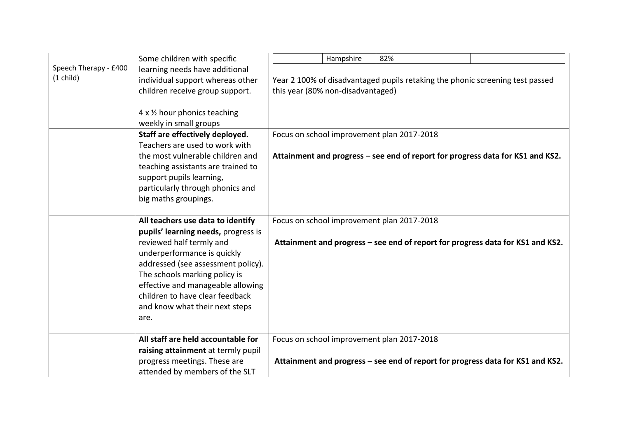|                       | Some children with specific         |                                                                                | Hampshire                         | 82%                                                                            |  |  |  |
|-----------------------|-------------------------------------|--------------------------------------------------------------------------------|-----------------------------------|--------------------------------------------------------------------------------|--|--|--|
| Speech Therapy - £400 | learning needs have additional      |                                                                                |                                   |                                                                                |  |  |  |
| $(1 \text{ child})$   | individual support whereas other    | Year 2 100% of disadvantaged pupils retaking the phonic screening test passed  |                                   |                                                                                |  |  |  |
|                       | children receive group support.     |                                                                                | this year (80% non-disadvantaged) |                                                                                |  |  |  |
|                       |                                     |                                                                                |                                   |                                                                                |  |  |  |
|                       | 4 x 1/2 hour phonics teaching       |                                                                                |                                   |                                                                                |  |  |  |
|                       | weekly in small groups              |                                                                                |                                   |                                                                                |  |  |  |
|                       | Staff are effectively deployed.     |                                                                                |                                   | Focus on school improvement plan 2017-2018                                     |  |  |  |
|                       | Teachers are used to work with      |                                                                                |                                   |                                                                                |  |  |  |
|                       | the most vulnerable children and    |                                                                                |                                   | Attainment and progress – see end of report for progress data for KS1 and KS2. |  |  |  |
|                       | teaching assistants are trained to  |                                                                                |                                   |                                                                                |  |  |  |
|                       | support pupils learning,            |                                                                                |                                   |                                                                                |  |  |  |
|                       | particularly through phonics and    |                                                                                |                                   |                                                                                |  |  |  |
|                       | big maths groupings.                |                                                                                |                                   |                                                                                |  |  |  |
|                       |                                     |                                                                                |                                   |                                                                                |  |  |  |
|                       | All teachers use data to identify   |                                                                                |                                   | Focus on school improvement plan 2017-2018                                     |  |  |  |
|                       | pupils' learning needs, progress is |                                                                                |                                   |                                                                                |  |  |  |
|                       | reviewed half termly and            | Attainment and progress - see end of report for progress data for KS1 and KS2. |                                   |                                                                                |  |  |  |
|                       | underperformance is quickly         |                                                                                |                                   |                                                                                |  |  |  |
|                       | addressed (see assessment policy).  |                                                                                |                                   |                                                                                |  |  |  |
|                       | The schools marking policy is       |                                                                                |                                   |                                                                                |  |  |  |
|                       | effective and manageable allowing   |                                                                                |                                   |                                                                                |  |  |  |
|                       | children to have clear feedback     |                                                                                |                                   |                                                                                |  |  |  |
|                       | and know what their next steps      |                                                                                |                                   |                                                                                |  |  |  |
|                       | are.                                |                                                                                |                                   |                                                                                |  |  |  |
|                       |                                     |                                                                                |                                   |                                                                                |  |  |  |
|                       | All staff are held accountable for  |                                                                                |                                   | Focus on school improvement plan 2017-2018                                     |  |  |  |
|                       | raising attainment at termly pupil  |                                                                                |                                   |                                                                                |  |  |  |
|                       | progress meetings. These are        | Attainment and progress – see end of report for progress data for KS1 and KS2. |                                   |                                                                                |  |  |  |
|                       | attended by members of the SLT      |                                                                                |                                   |                                                                                |  |  |  |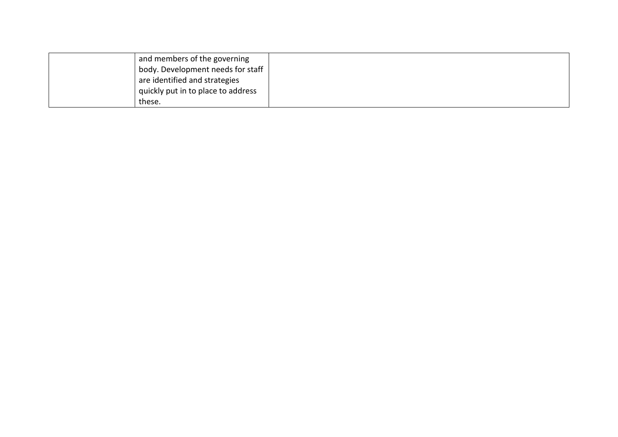|        | and members of the governing       |  |
|--------|------------------------------------|--|
|        | body. Development needs for staff  |  |
|        | are identified and strategies      |  |
|        | quickly put in to place to address |  |
| these. |                                    |  |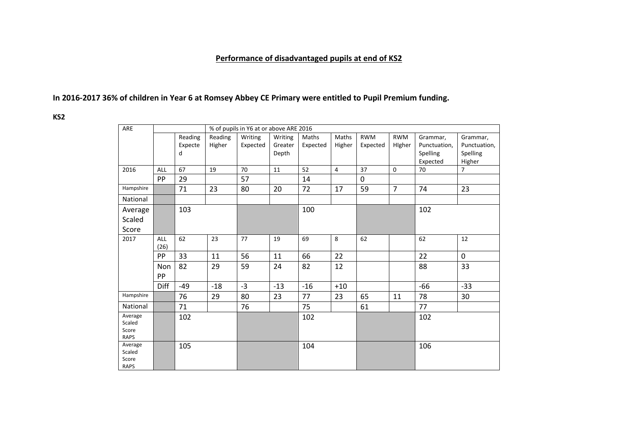# **Performance of disadvantaged pupils at end of KS2**

# **In 2016-2017 36% of children in Year 6 at Romsey Abbey CE Primary were entitled to Pupil Premium funding.**

**KS2** 

| ARE                  |             |         |         | % of pupils in Y6 at or above ARE 2016 |         |          |                |              |                  |              |                |
|----------------------|-------------|---------|---------|----------------------------------------|---------|----------|----------------|--------------|------------------|--------------|----------------|
|                      |             | Reading | Reading | Writing                                | Writing | Maths    | Maths          | <b>RWM</b>   | <b>RWM</b>       | Grammar,     | Grammar,       |
|                      |             | Expecte | Higher  | Expected                               | Greater | Expected | Higher         | Expected     | Higher           | Punctuation, | Punctuation,   |
|                      |             | d       |         |                                        | Depth   |          |                |              |                  | Spelling     | Spelling       |
|                      |             |         |         |                                        |         |          |                |              |                  | Expected     | Higher         |
| 2016                 | ALL         | 67      | 19      | 70                                     | 11      | 52       | $\overline{4}$ | 37           | $\boldsymbol{0}$ | 70           | $\overline{7}$ |
|                      | PP          | 29      |         | 57                                     |         | 14       |                | $\mathbf{0}$ |                  |              |                |
| Hampshire            |             | 71      | 23      | 80                                     | 20      | 72       | 17             | 59           | $\overline{7}$   | 74           | 23             |
| National             |             |         |         |                                        |         |          |                |              |                  |              |                |
| Average              |             | 103     |         |                                        |         | 100      |                |              |                  | 102          |                |
| Scaled               |             |         |         |                                        |         |          |                |              |                  |              |                |
| Score                |             |         |         |                                        |         |          |                |              |                  |              |                |
| 2017                 | ALL         | 62      | 23      | 77                                     | 19      | 69       | $\,8\,$        | 62           |                  | 62           | 12             |
|                      | (26)        |         |         |                                        |         |          |                |              |                  |              |                |
|                      | <b>PP</b>   | 33      | 11      | 56                                     | 11      | 66       | 22             |              |                  | 22           | $\mathbf{0}$   |
|                      | Non         | 82      | 29      | 59                                     | 24      | 82       | 12             |              |                  | 88           | 33             |
|                      | PP          |         |         |                                        |         |          |                |              |                  |              |                |
|                      | <b>Diff</b> | $-49$   | $-18$   | $-3$                                   | $-13$   | $-16$    | $+10$          |              |                  | $-66$        | $-33$          |
| Hampshire            |             | 76      | 29      | 80                                     | 23      | 77       | 23             | 65           | 11               | 78           | 30             |
| National             |             | 71      |         | 76                                     |         | 75       |                | 61           |                  | 77           |                |
| Average              |             | 102     |         |                                        |         | 102      |                |              |                  | 102          |                |
| Scaled               |             |         |         |                                        |         |          |                |              |                  |              |                |
| Score<br><b>RAPS</b> |             |         |         |                                        |         |          |                |              |                  |              |                |
| Average              |             | 105     |         |                                        |         | 104      |                |              |                  | 106          |                |
| Scaled               |             |         |         |                                        |         |          |                |              |                  |              |                |
| Score                |             |         |         |                                        |         |          |                |              |                  |              |                |
| <b>RAPS</b>          |             |         |         |                                        |         |          |                |              |                  |              |                |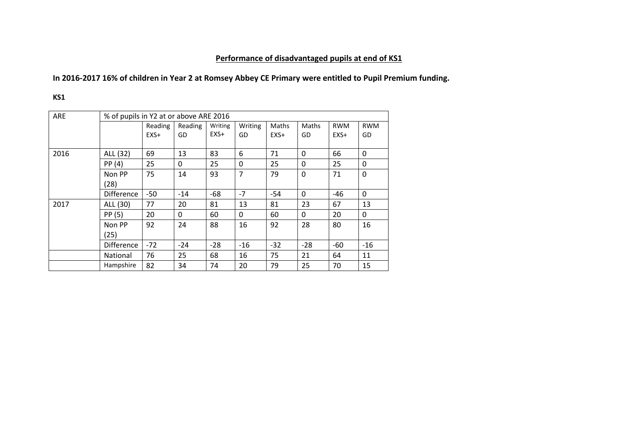# **Performance of disadvantaged pupils at end of KS1**

# **In 2016-2017 16% of children in Year 2 at Romsey Abbey CE Primary were entitled to Pupil Premium funding.**

**KS1** 

| ARE  |                   | % of pupils in Y2 at or above ARE 2016 |         |         |                |              |                |            |            |  |  |
|------|-------------------|----------------------------------------|---------|---------|----------------|--------------|----------------|------------|------------|--|--|
|      |                   | Reading                                | Reading | Writing | Writing        | <b>Maths</b> | Maths          | <b>RWM</b> | <b>RWM</b> |  |  |
|      |                   | $EXS+$                                 | GD      | $EXS+$  | GD             | $EXS+$       | GD             | $EXS+$     | GD         |  |  |
| 2016 | ALL (32)          | 69                                     | 13      | 83      | 6              | 71           | 0              | 66         | 0          |  |  |
|      | PP(4)             | 25                                     | 0       | 25      | 0              | 25           | 0              | 25         | 0          |  |  |
|      | Non PP<br>(28)    | 75                                     | 14      | 93      | $\overline{7}$ | 79           | $\overline{0}$ | 71         | 0          |  |  |
|      | <b>Difference</b> | $-50$                                  | $-14$   | $-68$   | $-7$           | $-54$        | 0              | -46        | 0          |  |  |
| 2017 | ALL (30)          | 77                                     | 20      | 81      | 13             | 81           | 23             | 67         | 13         |  |  |
|      | PP (5)            | 20                                     | 0       | 60      | $\Omega$       | 60           | 0              | 20         | 0          |  |  |
|      | Non PP<br>(25)    | 92                                     | 24      | 88      | 16             | 92           | 28             | 80         | 16         |  |  |
|      | <b>Difference</b> | $-72$                                  | $-24$   | $-28$   | $-16$          | $-32$        | $-28$          | -60        | $-16$      |  |  |
|      | <b>National</b>   | 76                                     | 25      | 68      | 16             | 75           | 21             | 64         | 11         |  |  |
|      | Hampshire         | 82                                     | 34      | 74      | 20             | 79           | 25             | 70         | 15         |  |  |